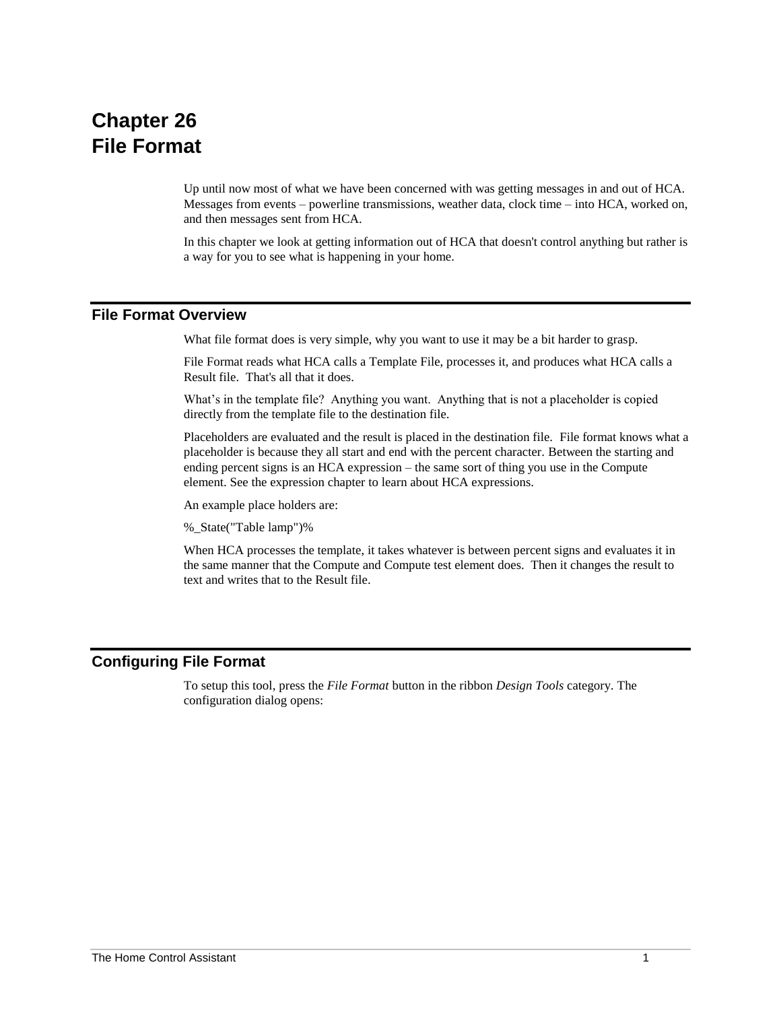## **Chapter 26 File Format**

Up until now most of what we have been concerned with was getting messages in and out of HCA. Messages from events – powerline transmissions, weather data, clock time – into HCA, worked on, and then messages sent from HCA.

In this chapter we look at getting information out of HCA that doesn't control anything but rather is a way for you to see what is happening in your home.

## **File Format Overview**

What file format does is very simple, why you want to use it may be a bit harder to grasp.

File Format reads what HCA calls a Template File, processes it, and produces what HCA calls a Result file. That's all that it does.

What's in the template file? Anything you want. Anything that is not a placeholder is copied directly from the template file to the destination file.

Placeholders are evaluated and the result is placed in the destination file. File format knows what a placeholder is because they all start and end with the percent character. Between the starting and ending percent signs is an HCA expression – the same sort of thing you use in the Compute element. See the expression chapter to learn about HCA expressions.

An example place holders are:

%\_State("Table lamp")%

When HCA processes the template, it takes whatever is between percent signs and evaluates it in the same manner that the Compute and Compute test element does. Then it changes the result to text and writes that to the Result file.

## **Configuring File Format**

To setup this tool, press the *File Format* button in the ribbon *Design Tools* category. The configuration dialog opens: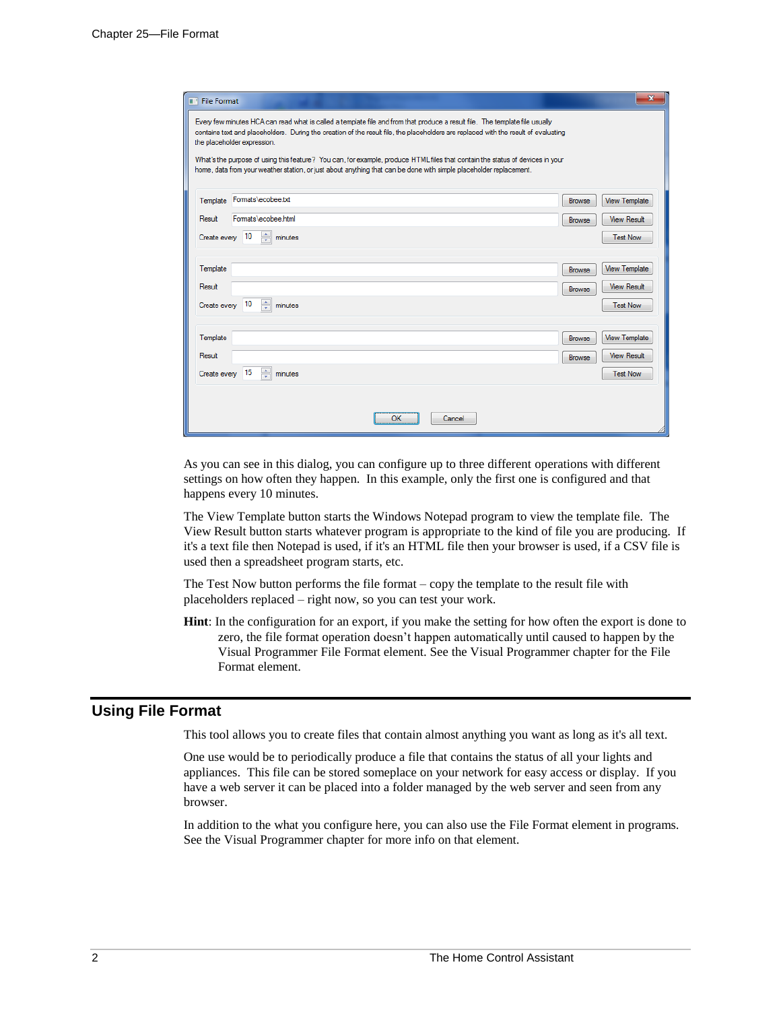| <b>File Format</b><br>mч                                                                                                                                                                                                                                                                                                                                                                                                                                                                                                                                  | $\mathbf x$                                                                       |  |
|-----------------------------------------------------------------------------------------------------------------------------------------------------------------------------------------------------------------------------------------------------------------------------------------------------------------------------------------------------------------------------------------------------------------------------------------------------------------------------------------------------------------------------------------------------------|-----------------------------------------------------------------------------------|--|
| Every few minutes HCA can read what is called a template file and from that produce a result file. The template file usually<br>contains text and placeholders. During the creation of the result file, the placeholders are replaced with the result of evaluating<br>the placeholder expression.<br>What's the purpose of using this feature? You can, for example, produce HTML files that contain the status of devices in your<br>home, data from your weather station, or just about anything that can be done with simple placeholder replacement. |                                                                                   |  |
| Formats\ecobee.bt<br>Template                                                                                                                                                                                                                                                                                                                                                                                                                                                                                                                             | <b>View Template</b><br>Browse                                                    |  |
| Formats\ecobee.html<br>Result                                                                                                                                                                                                                                                                                                                                                                                                                                                                                                                             | <b>View Result</b><br>Browse                                                      |  |
| ÷<br>10<br>Create every<br>minutes                                                                                                                                                                                                                                                                                                                                                                                                                                                                                                                        | <b>Test Now</b>                                                                   |  |
| Template<br>Result<br>minutes<br>10<br>Create every                                                                                                                                                                                                                                                                                                                                                                                                                                                                                                       | <b>View Template</b><br>Browse<br><b>View Result</b><br>Browse<br><b>Test Now</b> |  |
| Template                                                                                                                                                                                                                                                                                                                                                                                                                                                                                                                                                  | <b>View Template</b><br>Browse                                                    |  |
| Result                                                                                                                                                                                                                                                                                                                                                                                                                                                                                                                                                    | <b>View Result</b><br>Browse                                                      |  |
| $\Rightarrow$ minutes<br>15<br>Create every                                                                                                                                                                                                                                                                                                                                                                                                                                                                                                               | <b>Test Now</b>                                                                   |  |
| OK<br>Cancel                                                                                                                                                                                                                                                                                                                                                                                                                                                                                                                                              |                                                                                   |  |

As you can see in this dialog, you can configure up to three different operations with different settings on how often they happen. In this example, only the first one is configured and that happens every 10 minutes.

The View Template button starts the Windows Notepad program to view the template file. The View Result button starts whatever program is appropriate to the kind of file you are producing. If it's a text file then Notepad is used, if it's an HTML file then your browser is used, if a CSV file is used then a spreadsheet program starts, etc.

The Test Now button performs the file format – copy the template to the result file with placeholders replaced – right now, so you can test your work.

**Hint**: In the configuration for an export, if you make the setting for how often the export is done to zero, the file format operation doesn't happen automatically until caused to happen by the Visual Programmer File Format element. See the Visual Programmer chapter for the File Format element.

## **Using File Format**

This tool allows you to create files that contain almost anything you want as long as it's all text.

One use would be to periodically produce a file that contains the status of all your lights and appliances. This file can be stored someplace on your network for easy access or display. If you have a web server it can be placed into a folder managed by the web server and seen from any browser.

In addition to the what you configure here, you can also use the File Format element in programs. See the Visual Programmer chapter for more info on that element.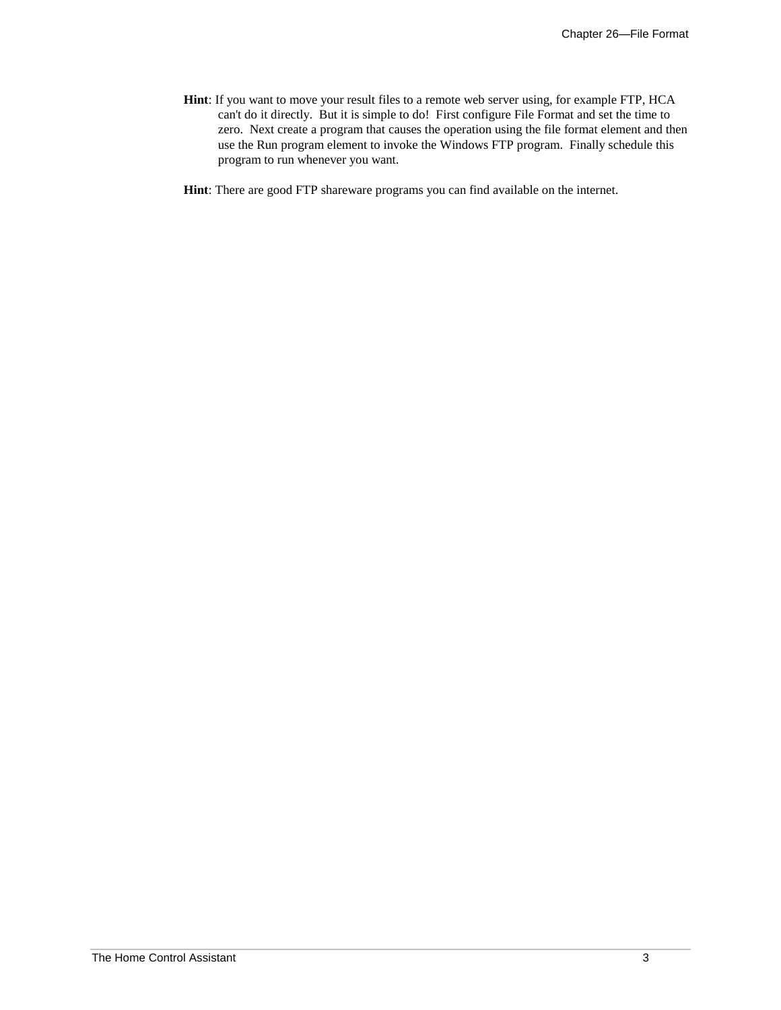- **Hint**: If you want to move your result files to a remote web server using, for example FTP, HCA can't do it directly. But it is simple to do! First configure File Format and set the time to zero. Next create a program that causes the operation using the file format element and then use the Run program element to invoke the Windows FTP program. Finally schedule this program to run whenever you want.
- **Hint**: There are good FTP shareware programs you can find available on the internet.